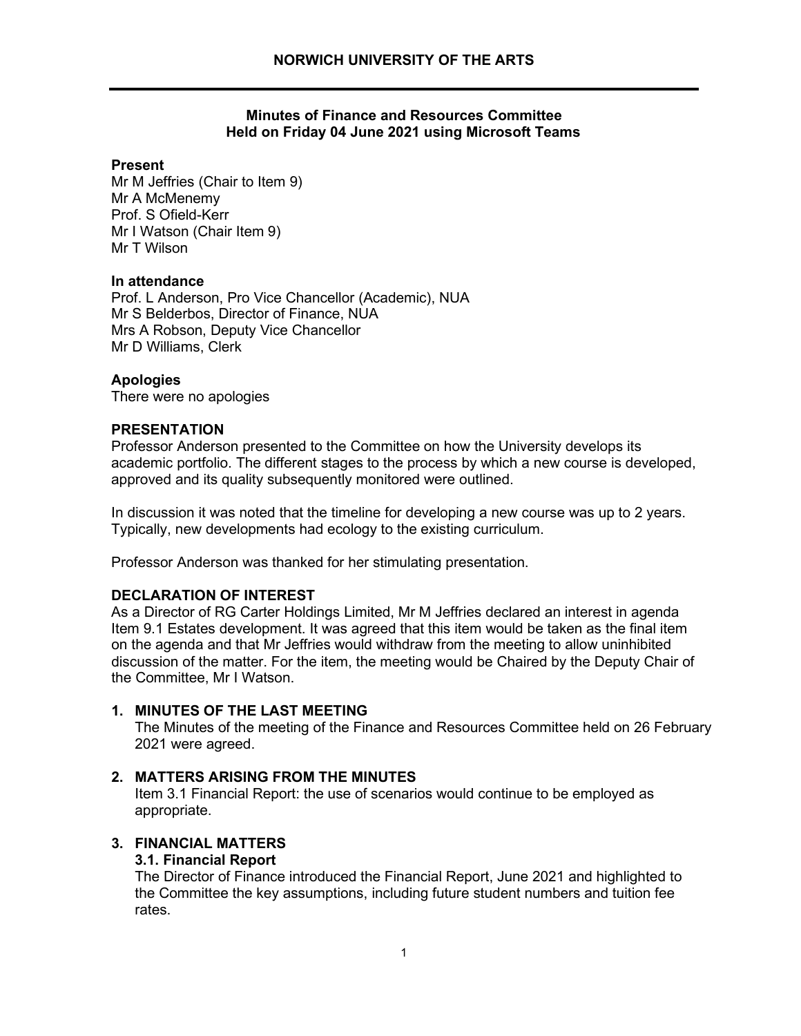### **Minutes of Finance and Resources Committee Held on Friday 04 June 2021 using Microsoft Teams**

### **Present**

 Mr M Jeffries (Chair to Item 9) Mr A McMenemy Prof. S Ofield-Kerr Mr I Watson (Chair Item 9) Mr T Wilson

### **In attendance**

Prof. L Anderson, Pro Vice Chancellor (Academic), NUA Mr S Belderbos, Director of Finance, NUA Mrs A Robson, Deputy Vice Chancellor Mr D Williams, Clerk

# **Apologies**

There were no apologies

### **PRESENTATION**

Professor Anderson presented to the Committee on how the University develops its academic portfolio. The different stages to the process by which a new course is developed, approved and its quality subsequently monitored were outlined.

 Typically, new developments had ecology to the existing curriculum. In discussion it was noted that the timeline for developing a new course was up to 2 years.

Professor Anderson was thanked for her stimulating presentation.

# **DECLARATION OF INTEREST**

As a Director of RG Carter Holdings Limited, Mr M Jeffries declared an interest in agenda Item 9.1 Estates development. It was agreed that this item would be taken as the final item on the agenda and that Mr Jeffries would withdraw from the meeting to allow uninhibited discussion of the matter. For the item, the meeting would be Chaired by the Deputy Chair of the Committee, Mr I Watson.

# **1. MINUTES OF THE LAST MEETING**

The Minutes of the meeting of the Finance and Resources Committee held on 26 February 2021 were agreed.

# **2. MATTERS ARISING FROM THE MINUTES**

Item 3.1 Financial Report: the use of scenarios would continue to be employed as appropriate.

# **3. FINANCIAL MATTERS**

### **3.1. Financial Report**

The Director of Finance introduced the Financial Report, June 2021 and highlighted to the Committee the key assumptions, including future student numbers and tuition fee rates.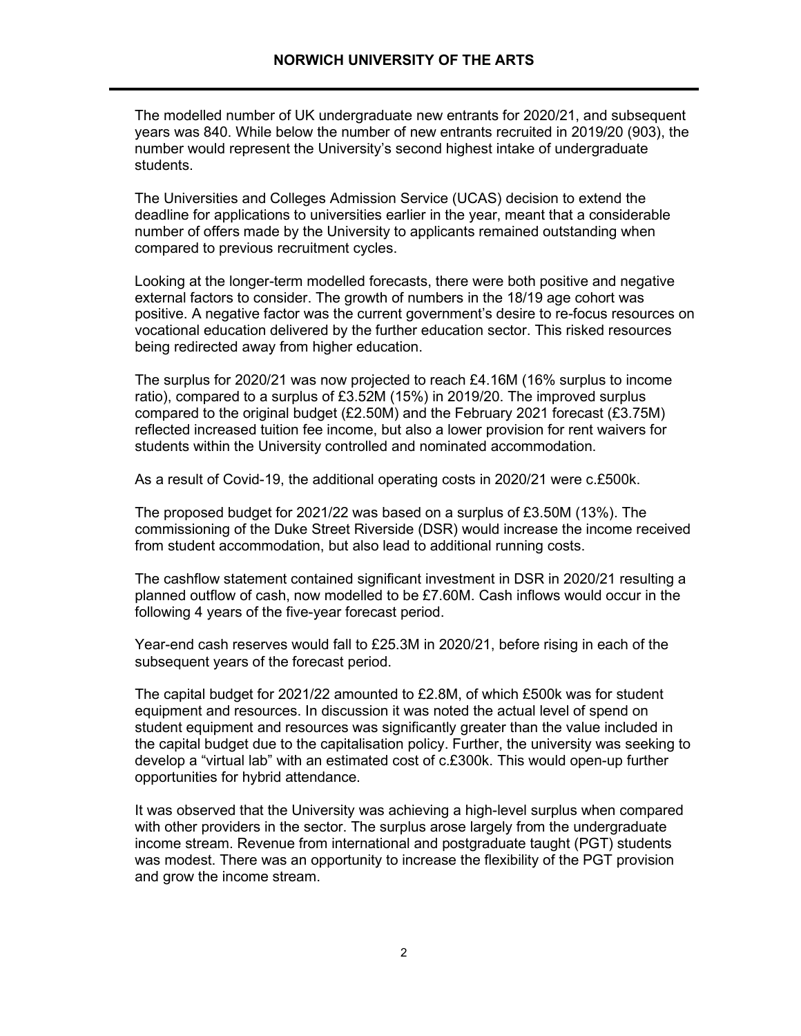The modelled number of UK undergraduate new entrants for 2020/21, and subsequent years was 840. While below the number of new entrants recruited in 2019/20 (903), the number would represent the University's second highest intake of undergraduate students.

 deadline for applications to universities earlier in the year, meant that a considerable The Universities and Colleges Admission Service (UCAS) decision to extend the number of offers made by the University to applicants remained outstanding when compared to previous recruitment cycles.

 external factors to consider. The growth of numbers in the 18/19 age cohort was positive. A negative factor was the current government's desire to re-focus resources on Looking at the longer-term modelled forecasts, there were both positive and negative vocational education delivered by the further education sector. This risked resources being redirected away from higher education.

 The surplus for 2020/21 was now projected to reach £4.16M (16% surplus to income reflected increased tuition fee income, but also a lower provision for rent waivers for ratio), compared to a surplus of £3.52M (15%) in 2019/20. The improved surplus compared to the original budget  $(E2.50M)$  and the February 2021 forecast  $(E3.75M)$ students within the University controlled and nominated accommodation.

As a result of Covid-19, the additional operating costs in 2020/21 were c.£500k.

 The proposed budget for 2021/22 was based on a surplus of £3.50M (13%). The commissioning of the Duke Street Riverside (DSR) would increase the income received from student accommodation, but also lead to additional running costs.

 planned outflow of cash, now modelled to be £7.60M. Cash inflows would occur in the The cashflow statement contained significant investment in DSR in 2020/21 resulting a following 4 years of the five-year forecast period.

Year-end cash reserves would fall to £25.3M in 2020/21, before rising in each of the subsequent years of the forecast period.

 The capital budget for 2021/22 amounted to £2.8M, of which £500k was for student equipment and resources. In discussion it was noted the actual level of spend on student equipment and resources was significantly greater than the value included in the capital budget due to the capitalisation policy. Further, the university was seeking to develop a "virtual lab" with an estimated cost of c.£300k. This would open-up further opportunities for hybrid attendance.

 with other providers in the sector. The surplus arose largely from the undergraduate income stream. Revenue from international and postgraduate taught (PGT) students and grow the income stream. It was observed that the University was achieving a high-level surplus when compared was modest. There was an opportunity to increase the flexibility of the PGT provision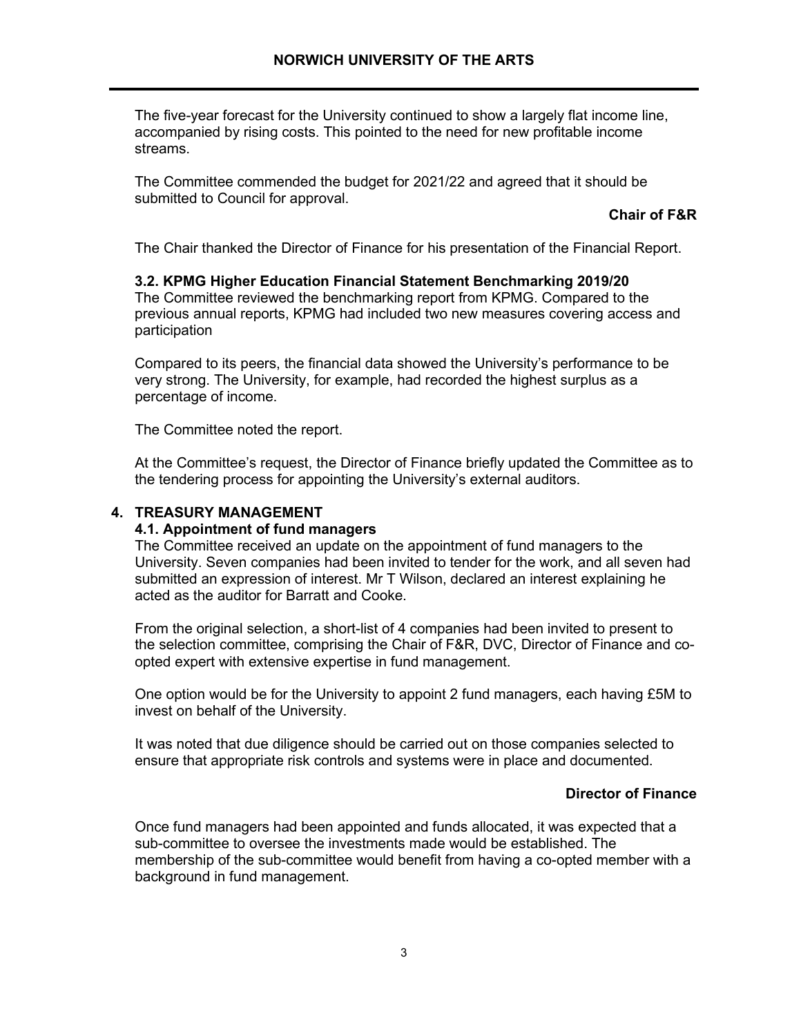The five-year forecast for the University continued to show a largely flat income line, accompanied by rising costs. This pointed to the need for new profitable income streams.

The Committee commended the budget for 2021/22 and agreed that it should be submitted to Council for approval.

#### **Chair of F&R**

The Chair thanked the Director of Finance for his presentation of the Financial Report.

### **3.2. KPMG Higher Education Financial Statement Benchmarking 2019/20** The Committee reviewed the benchmarking report from KPMG. Compared to the previous annual reports, KPMG had included two new measures covering access and participation

Compared to its peers, the financial data showed the University's performance to be very strong. The University, for example, had recorded the highest surplus as a percentage of income.

The Committee noted the report.

At the Committee's request, the Director of Finance briefly updated the Committee as to the tendering process for appointing the University's external auditors.

### **4. TREASURY MANAGEMENT**

#### **4.1. Appointment of fund managers**

The Committee received an update on the appointment of fund managers to the University. Seven companies had been invited to tender for the work, and all seven had submitted an expression of interest. Mr T Wilson, declared an interest explaining he acted as the auditor for Barratt and Cooke.

From the original selection, a short-list of 4 companies had been invited to present to the selection committee, comprising the Chair of F&R, DVC, Director of Finance and coopted expert with extensive expertise in fund management.

One option would be for the University to appoint 2 fund managers, each having £5M to invest on behalf of the University.

It was noted that due diligence should be carried out on those companies selected to ensure that appropriate risk controls and systems were in place and documented.

#### **Director of Finance**

 sub-committee to oversee the investments made would be established. The Once fund managers had been appointed and funds allocated, it was expected that a membership of the sub-committee would benefit from having a co-opted member with a background in fund management.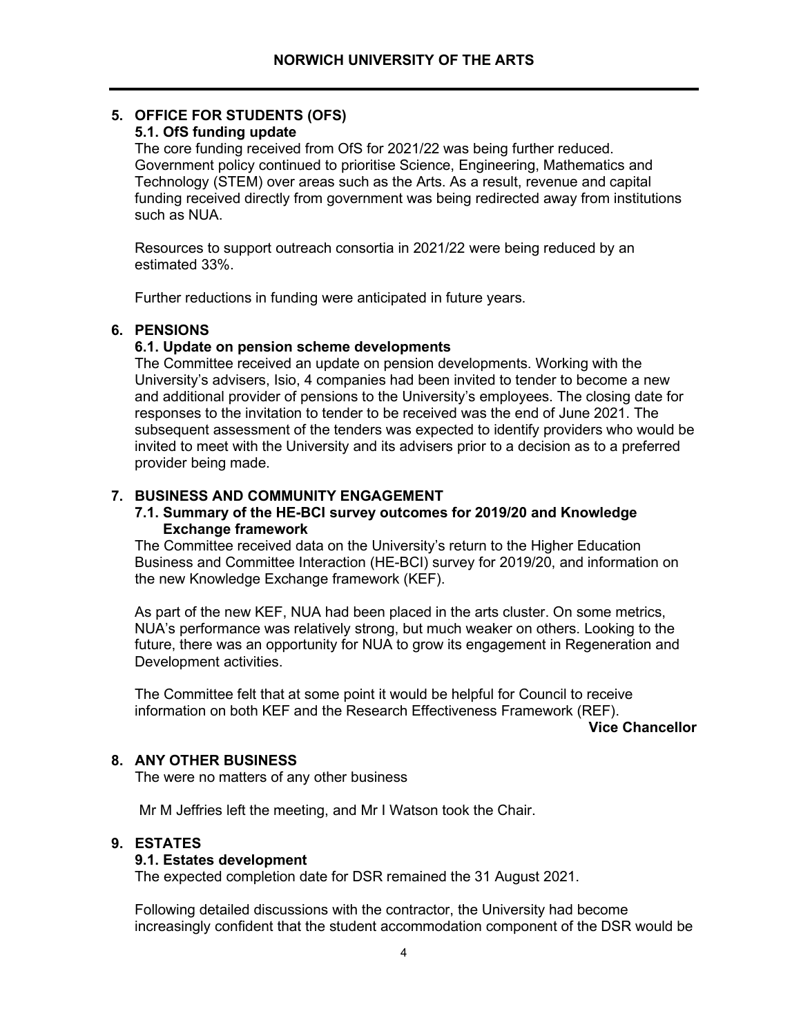# **5. OFFICE FOR STUDENTS (OFS)**

# **5.1. OfS funding update**

The core funding received from OfS for 2021/22 was being further reduced. Government policy continued to prioritise Science, Engineering, Mathematics and Technology (STEM) over areas such as the Arts. As a result, revenue and capital funding received directly from government was being redirected away from institutions such as NUA.

Resources to support outreach consortia in 2021/22 were being reduced by an estimated 33%.

Further reductions in funding were anticipated in future years.

# **6. PENSIONS**

# **6.1. Update on pension scheme developments**

The Committee received an update on pension developments. Working with the University's advisers, Isio, 4 companies had been invited to tender to become a new and additional provider of pensions to the University's employees. The closing date for responses to the invitation to tender to be received was the end of June 2021. The subsequent assessment of the tenders was expected to identify providers who would be invited to meet with the University and its advisers prior to a decision as to a preferred provider being made.

# **7. BUSINESS AND COMMUNITY ENGAGEMENT**

### **7.1. Summary of the HE-BCI survey outcomes for 2019/20 and Knowledge Exchange framework**

The Committee received data on the University's return to the Higher Education Business and Committee Interaction (HE-BCI) survey for 2019/20, and information on the new Knowledge Exchange framework (KEF).

As part of the new KEF, NUA had been placed in the arts cluster. On some metrics, NUA's performance was relatively strong, but much weaker on others. Looking to the future, there was an opportunity for NUA to grow its engagement in Regeneration and Development activities.

The Committee felt that at some point it would be helpful for Council to receive information on both KEF and the Research Effectiveness Framework (REF).

**Vice Chancellor** 

# **8. ANY OTHER BUSINESS**

The were no matters of any other business

Mr M Jeffries left the meeting, and Mr I Watson took the Chair.

# **9. ESTATES**

# **9.1. Estates development**

The expected completion date for DSR remained the 31 August 2021.

Following detailed discussions with the contractor, the University had become increasingly confident that the student accommodation component of the DSR would be